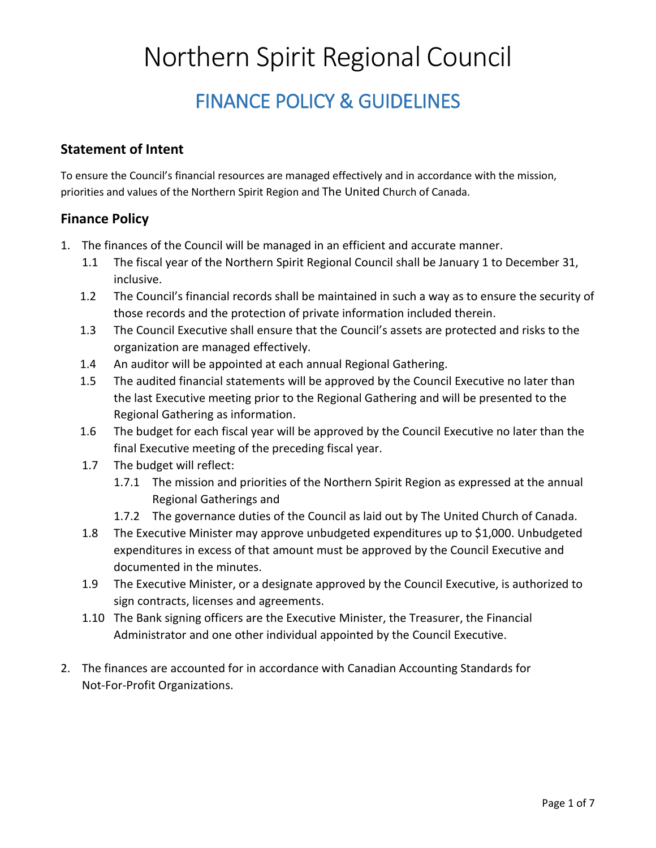# Northern Spirit Regional Council

## FINANCE POLICY & GUIDELINES

#### **Statement of Intent**

To ensure the Council's financial resources are managed effectively and in accordance with the mission, priorities and values of the Northern Spirit Region and The United Church of Canada.

#### **Finance Policy**

- 1. The finances of the Council will be managed in an efficient and accurate manner.
	- 1.1 The fiscal year of the Northern Spirit Regional Council shall be January 1 to December 31, inclusive.
	- 1.2 The Council's financial records shall be maintained in such a way as to ensure the security of those records and the protection of private information included therein.
	- 1.3 The Council Executive shall ensure that the Council's assets are protected and risks to the organization are managed effectively.
	- 1.4 An auditor will be appointed at each annual Regional Gathering.
	- 1.5 The audited financial statements will be approved by the Council Executive no later than the last Executive meeting prior to the Regional Gathering and will be presented to the Regional Gathering as information.
	- 1.6 The budget for each fiscal year will be approved by the Council Executive no later than the final Executive meeting of the preceding fiscal year.
	- 1.7 The budget will reflect:
		- 1.7.1 The mission and priorities of the Northern Spirit Region as expressed at the annual Regional Gatherings and
		- 1.7.2 The governance duties of the Council as laid out by The United Church of Canada.
	- 1.8 The Executive Minister may approve unbudgeted expenditures up to \$1,000. Unbudgeted expenditures in excess of that amount must be approved by the Council Executive and documented in the minutes.
	- 1.9 The Executive Minister, or a designate approved by the Council Executive, is authorized to sign contracts, licenses and agreements.
	- 1.10 The Bank signing officers are the Executive Minister, the Treasurer, the Financial Administrator and one other individual appointed by the Council Executive.
- 2. The finances are accounted for in accordance with Canadian Accounting Standards for Not-For-Profit Organizations.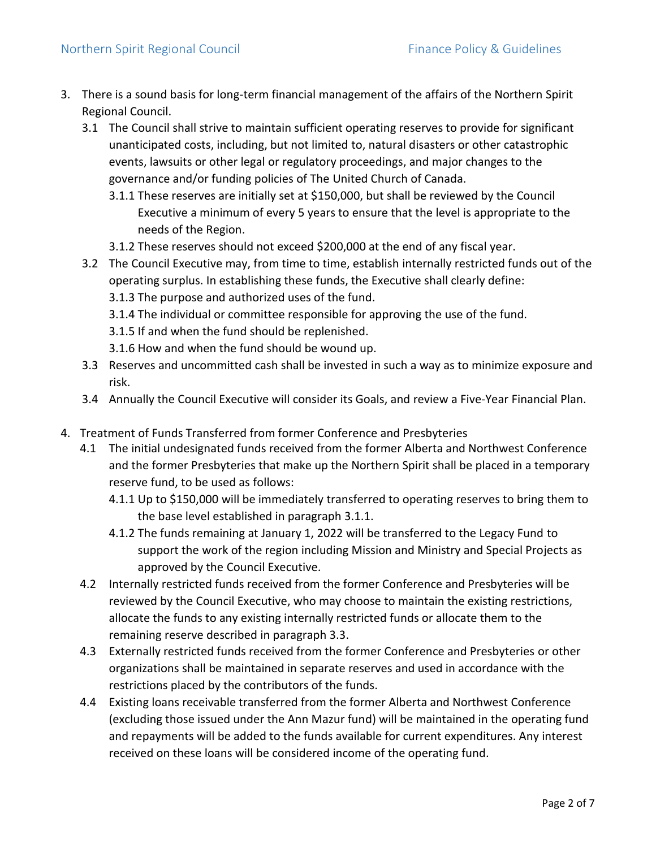- 3. There is a sound basis for long-term financial management of the affairs of the Northern Spirit Regional Council.
	- 3.1 The Council shall strive to maintain sufficient operating reserves to provide for significant unanticipated costs, including, but not limited to, natural disasters or other catastrophic events, lawsuits or other legal or regulatory proceedings, and major changes to the governance and/or funding policies of The United Church of Canada.
		- 3.1.1 These reserves are initially set at \$150,000, but shall be reviewed by the Council Executive a minimum of every 5 years to ensure that the level is appropriate to the needs of the Region.
		- 3.1.2 These reserves should not exceed \$200,000 at the end of any fiscal year.
	- 3.2 The Council Executive may, from time to time, establish internally restricted funds out of the operating surplus. In establishing these funds, the Executive shall clearly define:
		- 3.1.3 The purpose and authorized uses of the fund.
		- 3.1.4 The individual or committee responsible for approving the use of the fund.
		- 3.1.5 If and when the fund should be replenished.
		- 3.1.6 How and when the fund should be wound up.
	- 3.3 Reserves and uncommitted cash shall be invested in such a way as to minimize exposure and risk.
	- 3.4 Annually the Council Executive will consider its Goals, and review a Five-Year Financial Plan.
- 4. Treatment of Funds Transferred from former Conference and Presbyteries
	- 4.1 The initial undesignated funds received from the former Alberta and Northwest Conference and the former Presbyteries that make up the Northern Spirit shall be placed in a temporary reserve fund, to be used as follows:
		- 4.1.1 Up to \$150,000 will be immediately transferred to operating reserves to bring them to the base level established in paragraph 3.1.1.
		- 4.1.2 The funds remaining at January 1, 2022 will be transferred to the Legacy Fund to support the work of the region including Mission and Ministry and Special Projects as approved by the Council Executive.
	- 4.2 Internally restricted funds received from the former Conference and Presbyteries will be reviewed by the Council Executive, who may choose to maintain the existing restrictions, allocate the funds to any existing internally restricted funds or allocate them to the remaining reserve described in paragraph 3.3.
	- 4.3 Externally restricted funds received from the former Conference and Presbyteries or other organizations shall be maintained in separate reserves and used in accordance with the restrictions placed by the contributors of the funds.
	- 4.4 Existing loans receivable transferred from the former Alberta and Northwest Conference (excluding those issued under the Ann Mazur fund) will be maintained in the operating fund and repayments will be added to the funds available for current expenditures. Any interest received on these loans will be considered income of the operating fund.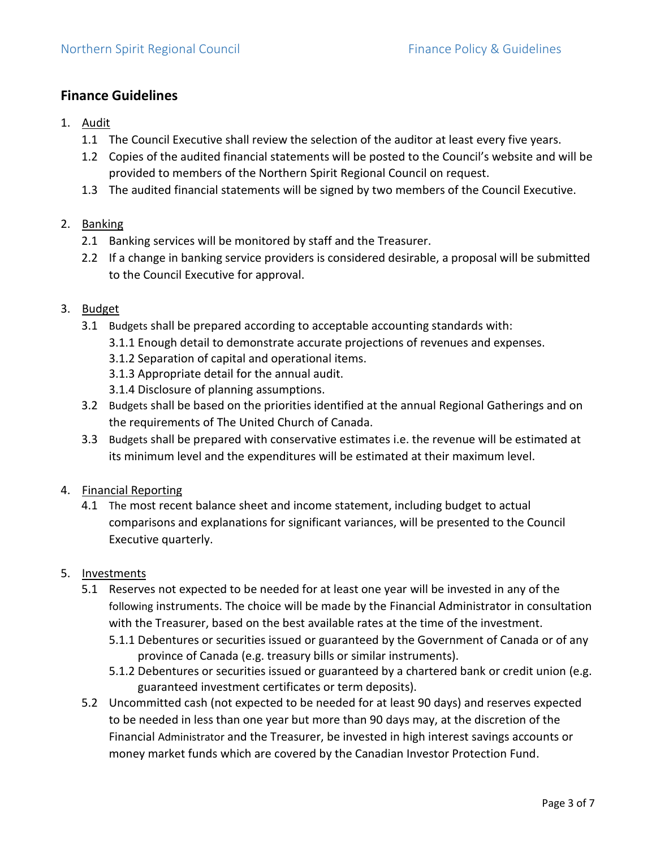#### **Finance Guidelines**

- 1. Audit
	- 1.1 The Council Executive shall review the selection of the auditor at least every five years.
	- 1.2 Copies of the audited financial statements will be posted to the Council's website and will be provided to members of the Northern Spirit Regional Council on request.
	- 1.3 The audited financial statements will be signed by two members of the Council Executive.

#### 2. Banking

- 2.1 Banking services will be monitored by staff and the Treasurer.
- 2.2 If a change in banking service providers is considered desirable, a proposal will be submitted to the Council Executive for approval.

#### 3. Budget

- 3.1 Budgets shall be prepared according to acceptable accounting standards with:
	- 3.1.1 Enough detail to demonstrate accurate projections of revenues and expenses.
	- 3.1.2 Separation of capital and operational items.
	- 3.1.3 Appropriate detail for the annual audit.
	- 3.1.4 Disclosure of planning assumptions.
- 3.2 Budgets shall be based on the priorities identified at the annual Regional Gatherings and on the requirements of The United Church of Canada.
- 3.3 Budgets shall be prepared with conservative estimates i.e. the revenue will be estimated at its minimum level and the expenditures will be estimated at their maximum level.
- 4. Financial Reporting
	- 4.1 The most recent balance sheet and income statement, including budget to actual comparisons and explanations for significant variances, will be presented to the Council Executive quarterly.

#### 5. Investments

- 5.1 Reserves not expected to be needed for at least one year will be invested in any of the following instruments. The choice will be made by the Financial Administrator in consultation with the Treasurer, based on the best available rates at the time of the investment.
	- 5.1.1 Debentures or securities issued or guaranteed by the Government of Canada or of any province of Canada (e.g. treasury bills or similar instruments).
	- 5.1.2 Debentures or securities issued or guaranteed by a chartered bank or credit union (e.g. guaranteed investment certificates or term deposits).
- 5.2 Uncommitted cash (not expected to be needed for at least 90 days) and reserves expected to be needed in less than one year but more than 90 days may, at the discretion of the Financial Administrator and the Treasurer, be invested in high interest savings accounts or money market funds which are covered by the Canadian Investor Protection Fund.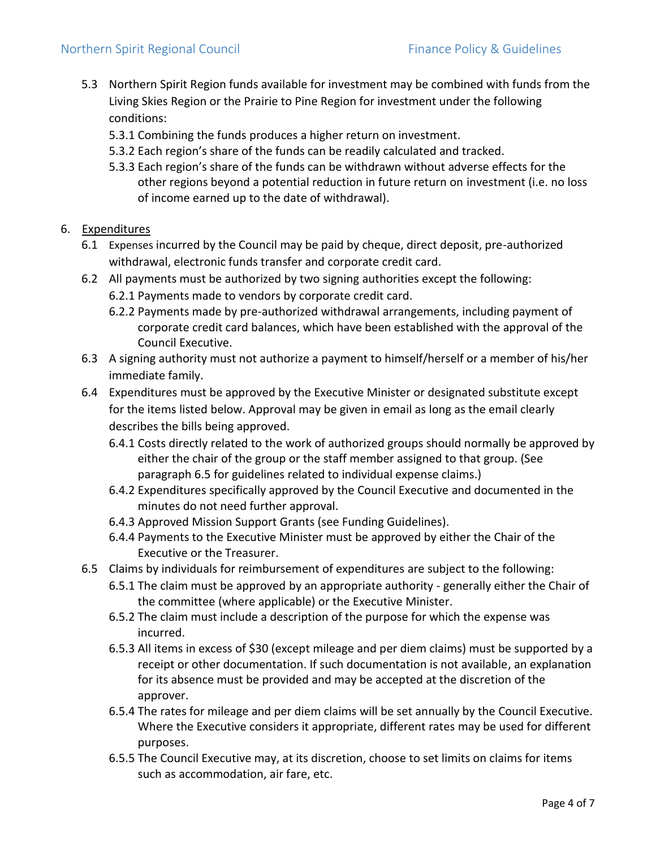- 5.3 Northern Spirit Region funds available for investment may be combined with funds from the Living Skies Region or the Prairie to Pine Region for investment under the following conditions:
	- 5.3.1 Combining the funds produces a higher return on investment.
	- 5.3.2 Each region's share of the funds can be readily calculated and tracked.
	- 5.3.3 Each region's share of the funds can be withdrawn without adverse effects for the other regions beyond a potential reduction in future return on investment (i.e. no loss of income earned up to the date of withdrawal).

#### 6. Expenditures

- 6.1 Expenses incurred by the Council may be paid by cheque, direct deposit, pre-authorized withdrawal, electronic funds transfer and corporate credit card.
- 6.2 All payments must be authorized by two signing authorities except the following:
	- 6.2.1 Payments made to vendors by corporate credit card.
	- 6.2.2 Payments made by pre-authorized withdrawal arrangements, including payment of corporate credit card balances, which have been established with the approval of the Council Executive.
- 6.3 A signing authority must not authorize a payment to himself/herself or a member of his/her immediate family.
- 6.4 Expenditures must be approved by the Executive Minister or designated substitute except for the items listed below. Approval may be given in email as long as the email clearly describes the bills being approved.
	- 6.4.1 Costs directly related to the work of authorized groups should normally be approved by either the chair of the group or the staff member assigned to that group. (See paragraph 6.5 for guidelines related to individual expense claims.)
	- 6.4.2 Expenditures specifically approved by the Council Executive and documented in the minutes do not need further approval.
	- 6.4.3 Approved Mission Support Grants (see Funding Guidelines).
	- 6.4.4 Payments to the Executive Minister must be approved by either the Chair of the Executive or the Treasurer.
- 6.5 Claims by individuals for reimbursement of expenditures are subject to the following:
	- 6.5.1 The claim must be approved by an appropriate authority generally either the Chair of the committee (where applicable) or the Executive Minister.
	- 6.5.2 The claim must include a description of the purpose for which the expense was incurred.
	- 6.5.3 All items in excess of \$30 (except mileage and per diem claims) must be supported by a receipt or other documentation. If such documentation is not available, an explanation for its absence must be provided and may be accepted at the discretion of the approver.
	- 6.5.4 The rates for mileage and per diem claims will be set annually by the Council Executive. Where the Executive considers it appropriate, different rates may be used for different purposes.
	- 6.5.5 The Council Executive may, at its discretion, choose to set limits on claims for items such as accommodation, air fare, etc.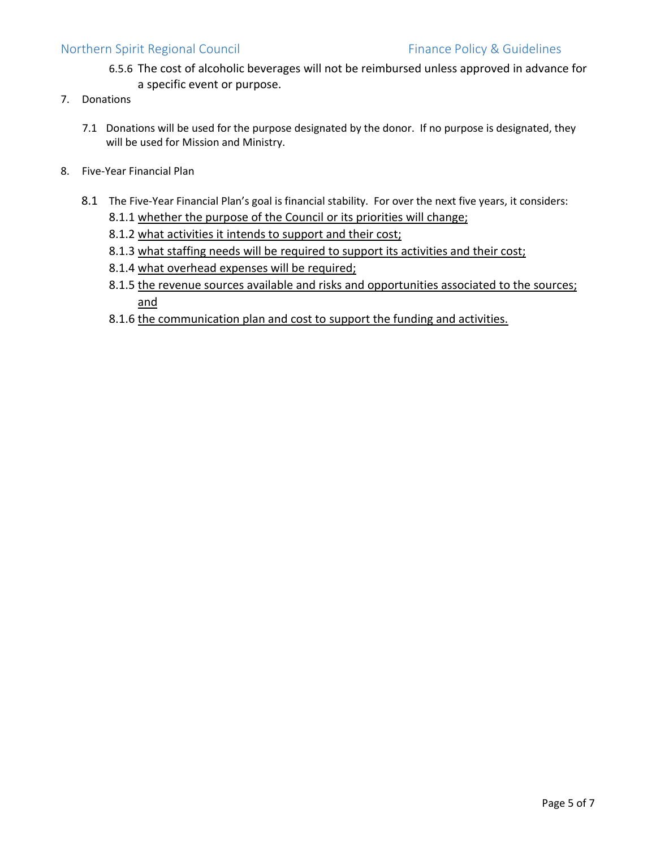#### Northern Spirit Regional Council **Finance Policy & Guidelines**

- 6.5.6 The cost of alcoholic beverages will not be reimbursed unless approved in advance for a specific event or purpose.
- 7. Donations
	- 7.1 Donations will be used for the purpose designated by the donor. If no purpose is designated, they will be used for Mission and Ministry.
- 8. Five-Year Financial Plan
	- 8.1 The Five-Year Financial Plan's goal is financial stability. For over the next five years, it considers:
		- 8.1.1 whether the purpose of the Council or its priorities will change;
		- 8.1.2 what activities it intends to support and their cost;
		- 8.1.3 what staffing needs will be required to support its activities and their cost;
		- 8.1.4 what overhead expenses will be required;
		- 8.1.5 the revenue sources available and risks and opportunities associated to the sources; and
		- 8.1.6 the communication plan and cost to support the funding and activities.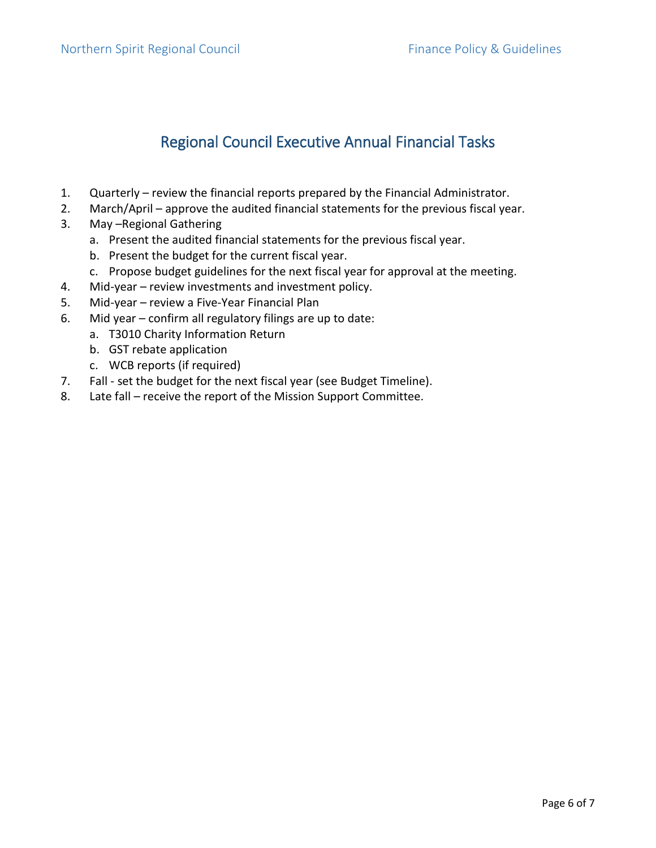### Regional Council Executive Annual Financial Tasks

- 1. Quarterly review the financial reports prepared by the Financial Administrator.
- 2. March/April approve the audited financial statements for the previous fiscal year.
- 3. May –Regional Gathering
	- a. Present the audited financial statements for the previous fiscal year.
	- b. Present the budget for the current fiscal year.
	- c. Propose budget guidelines for the next fiscal year for approval at the meeting.
- 4. Mid-year review investments and investment policy.
- 5. Mid-year review a Five-Year Financial Plan
- 6. Mid year confirm all regulatory filings are up to date:
	- a. T3010 Charity Information Return
	- b. GST rebate application
	- c. WCB reports (if required)
- 7. Fall set the budget for the next fiscal year (see Budget Timeline).
- 8. Late fall receive the report of the Mission Support Committee.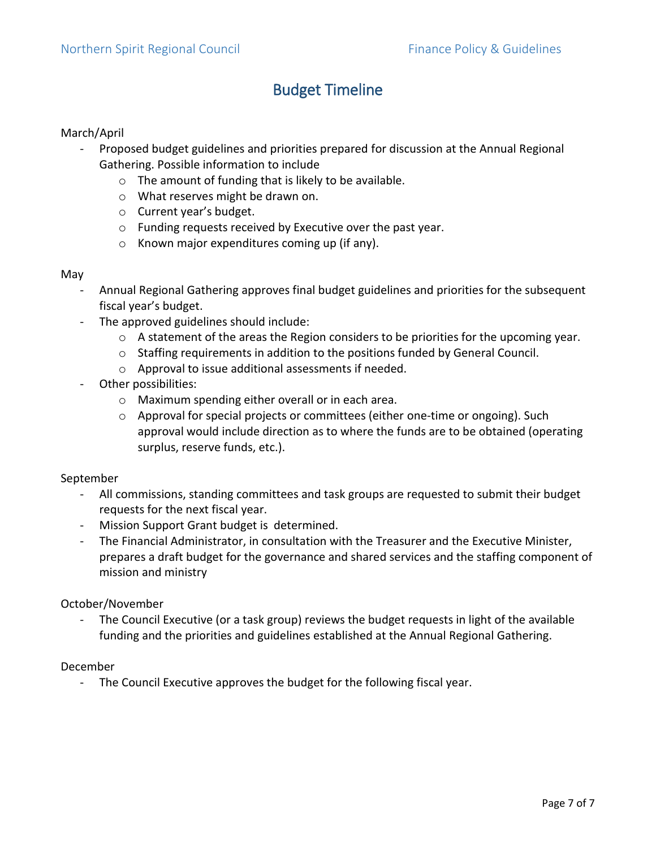### Budget Timeline

#### March/April

- Proposed budget guidelines and priorities prepared for discussion at the Annual Regional Gathering. Possible information to include
	- o The amount of funding that is likely to be available.
	- o What reserves might be drawn on.
	- o Current year's budget.
	- o Funding requests received by Executive over the past year.
	- o Known major expenditures coming up (if any).

#### May

- Annual Regional Gathering approves final budget guidelines and priorities for the subsequent fiscal year's budget.
- The approved guidelines should include:
	- o A statement of the areas the Region considers to be priorities for the upcoming year.
	- o Staffing requirements in addition to the positions funded by General Council.
	- o Approval to issue additional assessments if needed.
- Other possibilities:
	- o Maximum spending either overall or in each area.
	- o Approval for special projects or committees (either one-time or ongoing). Such approval would include direction as to where the funds are to be obtained (operating surplus, reserve funds, etc.).

#### September

- All commissions, standing committees and task groups are requested to submit their budget requests for the next fiscal year.
- Mission Support Grant budget is determined.
- The Financial Administrator, in consultation with the Treasurer and the Executive Minister, prepares a draft budget for the governance and shared services and the staffing component of mission and ministry

#### October/November

- The Council Executive (or a task group) reviews the budget requests in light of the available funding and the priorities and guidelines established at the Annual Regional Gathering.

#### December

- The Council Executive approves the budget for the following fiscal year.